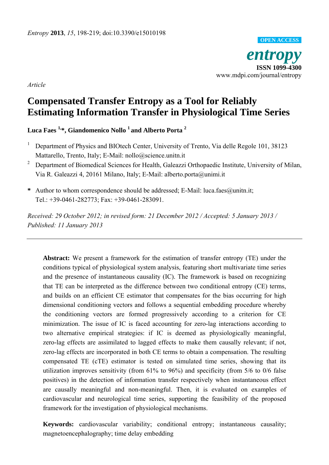

*Article* 

# **Compensated Transfer Entropy as a Tool for Reliably Estimating Information Transfer in Physiological Time Series**

**Luca Faes 1,\*, Giandomenico Nollo 1 and Alberto Porta 2**

- 1 Department of Physics and BIOtech Center, University of Trento, Via delle Regole 101, 38123 Mattarello, Trento, Italy; E-Mail: nollo@science.unitn.it
- <sup>2</sup> Department of Biomedical Sciences for Health, Galeazzi Orthopaedic Institute, University of Milan, Via R. Galeazzi 4, 20161 Milano, Italy; E-Mail: alberto.porta@unimi.it
- **\*** Author to whom correspondence should be addressed; E-Mail: luca.faes@unitn.it; Tel.: +39-0461-282773; Fax: +39-0461-283091.

*Received: 29 October 2012; in revised form: 21 December 2012 / Accepted: 5 January 2013 / Published: 11 January 2013* 

**Abstract:** We present a framework for the estimation of transfer entropy (TE) under the conditions typical of physiological system analysis, featuring short multivariate time series and the presence of instantaneous causality (IC). The framework is based on recognizing that TE can be interpreted as the difference between two conditional entropy (CE) terms, and builds on an efficient CE estimator that compensates for the bias occurring for high dimensional conditioning vectors and follows a sequential embedding procedure whereby the conditioning vectors are formed progressively according to a criterion for CE minimization. The issue of IC is faced accounting for zero-lag interactions according to two alternative empirical strategies: if IC is deemed as physiologically meaningful, zero-lag effects are assimilated to lagged effects to make them causally relevant; if not, zero-lag effects are incorporated in both CE terms to obtain a compensation. The resulting compensated TE (cTE) estimator is tested on simulated time series, showing that its utilization improves sensitivity (from 61% to 96%) and specificity (from 5/6 to 0/6 false positives) in the detection of information transfer respectively when instantaneous effect are causally meaningful and non-meaningful. Then, it is evaluated on examples of cardiovascular and neurological time series, supporting the feasibility of the proposed framework for the investigation of physiological mechanisms.

**Keywords:** cardiovascular variability; conditional entropy; instantaneous causality; magnetoencephalography; time delay embedding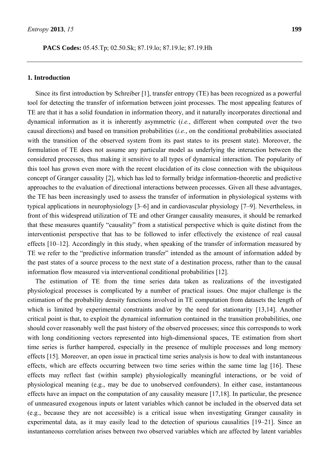**PACS Codes:** 05.45.Tp; 02.50.Sk; 87.19.lo; 87.19.le; 87.19.Hh

## **1. Introduction**

Since its first introduction by Schreiber [1], transfer entropy (TE) has been recognized as a powerful tool for detecting the transfer of information between joint processes. The most appealing features of TE are that it has a solid foundation in information theory, and it naturally incorporates directional and dynamical information as it is inherently asymmetric (*i.e.*, different when computed over the two causal directions) and based on transition probabilities (*i.e.*, on the conditional probabilities associated with the transition of the observed system from its past states to its present state). Moreover, the formulation of TE does not assume any particular model as underlying the interaction between the considered processes, thus making it sensitive to all types of dynamical interaction. The popularity of this tool has grown even more with the recent elucidation of its close connection with the ubiquitous concept of Granger causality [2], which has led to formally bridge information-theoretic and predictive approaches to the evaluation of directional interactions between processes. Given all these advantages, the TE has been increasingly used to assess the transfer of information in physiological systems with typical applications in neurophysiology [3–6] and in cardiovascular physiology [7–9]. Nevertheless, in front of this widespread utilization of TE and other Granger causality measures, it should be remarked that these measures quantify "causality" from a statistical perspective which is quite distinct from the interventionist perspective that has to be followed to infer effectively the existence of real causal effects [10–12]. Accordingly in this study, when speaking of the transfer of information measured by TE we refer to the "predictive information transfer" intended as the amount of information added by the past states of a source process to the next state of a destination process, rather than to the causal information flow measured via interventional conditional probabilities [12].

The estimation of TE from the time series data taken as realizations of the investigated physiological processes is complicated by a number of practical issues. One major challenge is the estimation of the probability density functions involved in TE computation from datasets the length of which is limited by experimental constraints and/or by the need for stationarity [13,14]. Another critical point is that, to exploit the dynamical information contained in the transition probabilities, one should cover reasonably well the past history of the observed processes; since this corresponds to work with long conditioning vectors represented into high-dimensional spaces, TE estimation from short time series is further hampered, especially in the presence of multiple processes and long memory effects [15]. Moreover, an open issue in practical time series analysis is how to deal with instantaneous effects, which are effects occurring between two time series within the same time lag [16]. These effects may reflect fast (within sample) physiologically meaningful interactions, or be void of physiological meaning (e.g., may be due to unobserved confounders). In either case, instantaneous effects have an impact on the computation of any causality measure [17,18]. In particular, the presence of unmeasured exogenous inputs or latent variables which cannot be included in the observed data set (e.g., because they are not accessible) is a critical issue when investigating Granger causality in experimental data, as it may easily lead to the detection of spurious causalities [19–21]. Since an instantaneous correlation arises between two observed variables which are affected by latent variables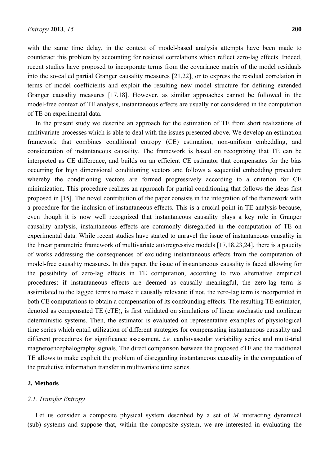with the same time delay, in the context of model-based analysis attempts have been made to counteract this problem by accounting for residual correlations which reflect zero-lag effects. Indeed, recent studies have proposed to incorporate terms from the covariance matrix of the model residuals into the so-called partial Granger causality measures [21,22], or to express the residual correlation in terms of model coefficients and exploit the resulting new model structure for defining extended Granger causality measures [17,18]. However, as similar approaches cannot be followed in the model-free context of TE analysis, instantaneous effects are usually not considered in the computation of TE on experimental data.

In the present study we describe an approach for the estimation of TE from short realizations of multivariate processes which is able to deal with the issues presented above. We develop an estimation framework that combines conditional entropy (CE) estimation, non-uniform embedding, and consideration of instantaneous causality. The framework is based on recognizing that TE can be interpreted as CE difference, and builds on an efficient CE estimator that compensates for the bias occurring for high dimensional conditioning vectors and follows a sequential embedding procedure whereby the conditioning vectors are formed progressively according to a criterion for CE minimization. This procedure realizes an approach for partial conditioning that follows the ideas first proposed in [15]. The novel contribution of the paper consists in the integration of the framework with a procedure for the inclusion of instantaneous effects. This is a crucial point in TE analysis because, even though it is now well recognized that instantaneous causality plays a key role in Granger causality analysis, instantaneous effects are commonly disregarded in the computation of TE on experimental data. While recent studies have started to unravel the issue of instantaneous causality in the linear parametric framework of multivariate autoregressive models [17,18,23,24], there is a paucity of works addressing the consequences of excluding instantaneous effects from the computation of model-free causality measures. In this paper, the issue of instantaneous causality is faced allowing for the possibility of zero-lag effects in TE computation, according to two alternative empirical procedures: if instantaneous effects are deemed as causally meaningful, the zero-lag term is assimilated to the lagged terms to make it causally relevant; if not, the zero-lag term is incorporated in both CE computations to obtain a compensation of its confounding effects. The resulting TE estimator, denoted as compensated TE (cTE), is first validated on simulations of linear stochastic and nonlinear deterministic systems. Then, the estimator is evaluated on representative examples of physiological time series which entail utilization of different strategies for compensating instantaneous causality and different procedures for significance assessment, *i.e.* cardiovascular variability series and multi-trial magnetoencephalography signals. The direct comparison between the proposed cTE and the traditional TE allows to make explicit the problem of disregarding instantaneous causality in the computation of the predictive information transfer in multivariate time series.

# **2. Methods**

# *2.1. Transfer Entropy*

Let us consider a composite physical system described by a set of *M* interacting dynamical (sub) systems and suppose that, within the composite system, we are interested in evaluating the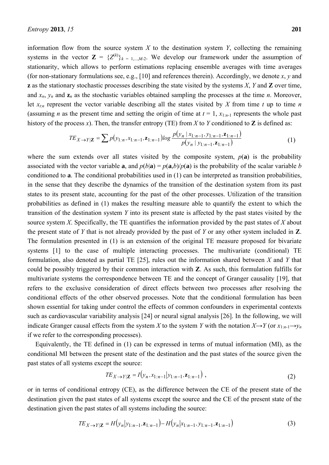information flow from the source system  $X$  to the destination system  $Y$ , collecting the remaining systems in the vector  $\mathbf{Z} = \{Z^{(k)}\}_{k=1,\dots,M-2}$ . We develop our framework under the assumption of stationarity, which allows to perform estimations replacing ensemble averages with time averages (for non-stationary formulations see, e.g., [10] and references therein). Accordingly, we denote *x*, *y* and **z** as the stationary stochastic processes describing the state visited by the systems *X*, *Y* and **Z** over time, and  $x_n$ ,  $y_n$  and  $z_n$  as the stochastic variables obtained sampling the processes at the time *n*. Moreover, let *xt*:*n* represent the vector variable describing all the states visited by *X* from time *t* up to time *n*

(assuming *n* as the present time and setting the origin of time at  $t = 1$ ,  $x_{1:n-1}$  represents the whole past history of the process *x*). Then, the transfer entropy (TE) from *X* to *Y* conditioned to **Z** is defined as:

$$
TE_{X \to Y|Z} = \sum p(y_{1:n}, x_{1:n-1}, z_{1:n-1}) log \frac{p(y_n | x_{1:n-1}, y_{1:n-1}, z_{1:n-1})}{p(y_n | y_{1:n-1}, z_{1:n-1})}
$$
(1)

where the sum extends over all states visited by the composite system,  $p(a)$  is the probability associated with the vector variable **a**, and  $p(b|\mathbf{a}) = p(\mathbf{a},b)/p(\mathbf{a})$  is the probability of the scalar variable *b* conditioned to **a**. The conditional probabilities used in (1) can be interpreted as transition probabilities, in the sense that they describe the dynamics of the transition of the destination system from its past states to its present state, accounting for the past of the other processes. Utilization of the transition probabilities as defined in (1) makes the resulting measure able to quantify the extent to which the transition of the destination system *Y* into its present state is affected by the past states visited by the source system *X*. Specifically, the TE quantifies the information provided by the past states of *X* about the present state of *Y* that is not already provided by the past of *Y* or any other system included in **Z**. The formulation presented in (1) is an extension of the original TE measure proposed for bivariate systems [1] to the case of multiple interacting processes. The multivariate (conditional) TE formulation, also denoted as partial TE [25], rules out the information shared between *X* and *Y* that could be possibly triggered by their common interaction with **Z**. As such, this formulation fulfills for multivariate systems the correspondence between TE and the concept of Granger causality [19], that refers to the exclusive consideration of direct effects between two processes after resolving the conditional effects of the other observed processes. Note that the conditional formulation has been shown essential for taking under control the effects of common confounders in experimental contexts such as cardiovascular variability analysis [24] or neural signal analysis [26]. In the following, we will indicate Granger causal effects from the system *X* to the system *Y* with the notation  $X \rightarrow Y$  (or  $x_{1:n-1} \rightarrow y_n$ if we refer to the corresponding processes).

Equivalently, the TE defined in (1) can be expressed in terms of mutual information (MI), as the conditional MI between the present state of the destination and the past states of the source given the past states of all systems except the source:

$$
TE_{X \to Y|Z} = I(y_n, x_{1:n-1}|y_{1:n-1}, \mathbf{z}_{1:n-1}),
$$
\n(2)

or in terms of conditional entropy (CE), as the difference between the CE of the present state of the destination given the past states of all systems except the source and the CE of the present state of the destination given the past states of all systems including the source:

$$
TE_{X \to Y|Z} = H(y_n|y_{1:n-1}, \mathbf{z}_{1:n-1}) - H(y_n|x_{1:n-1}, y_{1:n-1}, \mathbf{z}_{1:n-1})
$$
\n(3)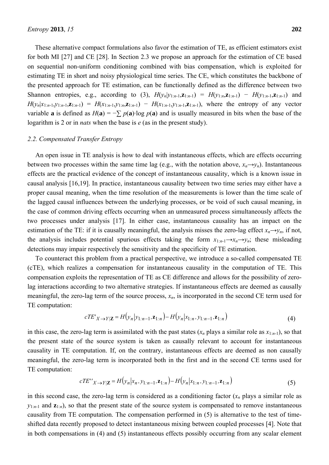These alternative compact formulations also favor the estimation of TE, as efficient estimators exist for both MI [27] and CE [28]. In Section 2.3 we propose an approach for the estimation of CE based on sequential non-uniform conditioning combined with bias compensation, which is exploited for estimating TE in short and noisy physiological time series. The CE, which constitutes the backbone of the presented approach for TE estimation, can be functionally defined as the difference between two Shannon entropies, e.g., according to (3),  $H(y_n|y_{1:n-1}, z_{1:n-1}) = H(y_{1:n}, z_{1:n-1}) - H(y_{1:n-1}, z_{1:n-1})$  and  $H(y_n|x_{1:n-1},y_{1:n-1},\mathbf{z}_{1:n-1}) = H(x_{1:n-1},y_{1:n},\mathbf{z}_{1:n-1}) - H(x_{1:n-1},y_{1:n-1},\mathbf{z}_{1:n-1})$ , where the entropy of any vector variable **a** is defined as  $H(a) = -\sum p(a) \cdot \log p(a)$  and is usually measured in bits when the base of the logarithm is 2 or in *nats* when the base is *e* (as in the present study).

#### *2.2. Compensated Transfer Entropy*

An open issue in TE analysis is how to deal with instantaneous effects, which are effects occurring between two processes within the same time lag (e.g., with the notation above,  $x_n \rightarrow y_n$ ). Instantaneous effects are the practical evidence of the concept of instantaneous causality, which is a known issue in causal analysis [16,19]. In practice, instantaneous causality between two time series may either have a proper causal meaning, when the time resolution of the measurements is lower than the time scale of the lagged causal influences between the underlying processes, or be void of such causal meaning, in the case of common driving effects occurring when an unmeasured process simultaneously affects the two processes under analysis [17]. In either case, instantaneous causality has an impact on the estimation of the TE: if it is causally meaningful, the analysis misses the zero-lag effect  $x_n \rightarrow y_n$ , if not, the analysis includes potential spurious effects taking the form  $x_{1:n-1} \rightarrow x_n \rightarrow y_n$ ; these misleading detections may impair respectively the sensitivity and the specificity of TE estimation.

To counteract this problem from a practical perspective, we introduce a so-called compensated TE (cTE), which realizes a compensation for instantaneous causality in the computation of TE. This compensation exploits the representation of TE as CE difference and allows for the possibility of zerolag interactions according to two alternative strategies. If instantaneous effects are deemed as causally meaningful, the zero-lag term of the source process,  $x_n$ , is incorporated in the second CE term used for TE computation:

$$
cTE'_{X \to Y|Z} = H(y_n|y_{1:n-1}, \mathbf{z}_{1:n}) - H(y_n|x_{1:n}, y_{1:n-1}, \mathbf{z}_{1:n})
$$
(4)

in this case, the zero-lag term is assimilated with the past states  $(x_n$  plays a similar role as  $x_{1:n-1}$ ), so that the present state of the source system is taken as causally relevant to account for instantaneous causality in TE computation. If, on the contrary, instantaneous effects are deemed as non causally meaningful, the zero-lag term is incorporated both in the first and in the second CE terms used for TE computation:

$$
cTE''_{X \to Y|Z} = H(y_n | x_n, y_{1:n-1}, \mathbf{z}_{1:n}) - H(y_n | x_{1:n}, y_{1:n-1}, \mathbf{z}_{1:n})
$$
\n(5)

in this second case, the zero-lag term is considered as a conditioning factor  $(x_n)$  plays a similar role as  $y_{1:n-1}$  and  $z_{1:n}$ ), so that the present state of the source system is compensated to remove instantaneous causality from TE computation. The compensation performed in (5) is alternative to the test of timeshifted data recently proposed to detect instantaneous mixing between coupled processes [4]. Note that in both compensations in (4) and (5) instantaneous effects possibly occurring from any scalar element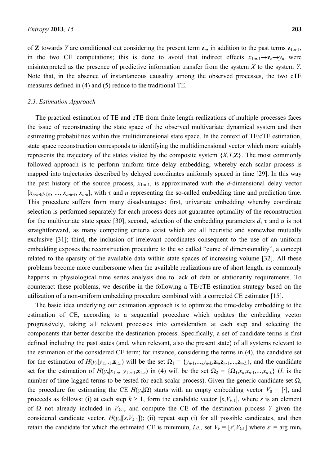of **Z** towards *Y* are conditioned out considering the present term  $z_n$ , in addition to the past terms  $z_{1:n-1}$ , in the two CE computations; this is done to avoid that indirect effects  $x_{1:n-1}\rightarrow z_n\rightarrow y_n$  were misinterpreted as the presence of predictive information transfer from the system *X* to the system *Y*. Note that, in the absence of instantaneous causality among the observed processes, the two cTE measures defined in (4) and (5) reduce to the traditional TE.

#### *2.3. Estimation Approach*

The practical estimation of TE and cTE from finite length realizations of multiple processes faces the issue of reconstructing the state space of the observed multivariate dynamical system and then estimating probabilities within this multidimensional state space. In the context of TE/cTE estimation, state space reconstruction corresponds to identifying the multidimensional vector which more suitably represents the trajectory of the states visited by the composite system  $\{X, Y, Z\}$ . The most commonly followed approach is to perform uniform time delay embedding, whereby each scalar process is mapped into trajectories described by delayed coordinates uniformly spaced in time [29]. In this way the past history of the source process,  $x_{1:n-1}$ , is approximated with the *d*-dimensional delay vector  $[x_{n-u-(d-1)\tau}, ..., x_{n-u-\tau}, x_{n-u}]$ , with  $\tau$  and *u* representing the so-called embedding time and prediction time. This procedure suffers from many disadvantages: first, univariate embedding whereby coordinate selection is performed separately for each process does not guarantee optimality of the reconstruction for the multivariate state space [30]; second, selection of the embedding parameters  $d$ ,  $\tau$  and  $u$  is not straightforward, as many competing criteria exist which are all heuristic and somewhat mutually exclusive [31]; third, the inclusion of irrelevant coordinates consequent to the use of an uniform embedding exposes the reconstruction procedure to the so called "curse of dimensionality", a concept related to the sparsity of the available data within state spaces of increasing volume [32]. All these problems become more cumbersome when the available realizations are of short length, as commonly happens in physiological time series analysis due to lack of data or stationarity requirements. To counteract these problems, we describe in the following a TE/cTE estimation strategy based on the utilization of a non-uniform embedding procedure combined with a corrected CE estimator [15].

The basic idea underlying our estimation approach is to optimize the time-delay embedding to the estimation of CE, according to a sequential procedure which updates the embedding vector progressively, taking all relevant processes into consideration at each step and selecting the components that better describe the destination process. Specifically, a set of candidate terms is first defined including the past states (and, when relevant, also the present state) of all systems relevant to the estimation of the considered CE term; for instance, considering the terms in (4), the candidate set for the estimation of  $H(y_n|y_{1:n-1},\mathbf{z}_{1:n})$  will be the set  $\Omega_1 = \{y_{n-1},...,y_{n-L},\mathbf{z}_n,\mathbf{z}_{n-1},...,\mathbf{z}_{n-L}\}$ , and the candidate set for the estimation of  $H(y_n|x_{1:n}, y_{1:n-1}, \mathbf{z}_{1:n})$  in (4) will be the set  $\Omega_2 = {\Omega_1, x_n, x_{n-1}, \dots, x_{n-L}}$  (*L* is the number of time lagged terms to be tested for each scalar process). Given the generic candidate set  $Ω$ , the procedure for estimating the CE  $H(y_n|\Omega)$  starts with an empty embedding vector  $V_0 = [\cdot]$ , and proceeds as follows: (i) at each step  $k \ge 1$ , form the candidate vector  $[s, V_{k-1}]$ , where *s* is an element of  $\Omega$  not already included in  $V_{k-1}$ , and compute the CE of the destination process *Y* given the considered candidate vector,  $H(y_n|[s,V_{k-1}])$ ; (ii) repeat step (i) for all possible candidates, and then retain the candidate for which the estimated CE is minimum, *i.e.*, set  $V_k = [s', V_{k-1}]$  where  $s' = \arg \min_s$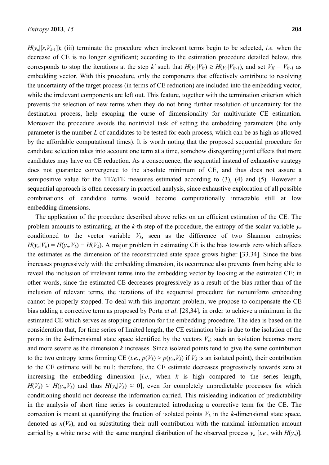$H(y_n|[s,V_{k-1}])$ ; (iii) terminate the procedure when irrelevant terms begin to be selected, *i.e.* when the decrease of CE is no longer significant; according to the estimation procedure detailed below, this corresponds to stop the iterations at the step *k'* such that  $H(y_n|V_{k'}) \ge H(y_n|V_{k'-1})$ , and set  $V_K = V_{k'-1}$  as embedding vector. With this procedure, only the components that effectively contribute to resolving the uncertainty of the target process (in terms of CE reduction) are included into the embedding vector, while the irrelevant components are left out. This feature, together with the termination criterion which prevents the selection of new terms when they do not bring further resolution of uncertainty for the destination process, help escaping the curse of dimensionality for multivariate CE estimation. Moreover the procedure avoids the nontrivial task of setting the embedding parameters (the only parameter is the number *L* of candidates to be tested for each process, which can be as high as allowed by the affordable computational times). It is worth noting that the proposed sequential procedure for candidate selection takes into account one term at a time, somehow disregarding joint effects that more candidates may have on CE reduction. As a consequence, the sequential instead of exhaustive strategy does not guarantee convergence to the absolute minimum of CE, and thus does not assure a semipositive value for the TE/cTE measures estimated according to (3), (4) and (5). However a sequential approach is often necessary in practical analysis, since exhaustive exploration of all possible combinations of candidate terms would become computationally intractable still at low embedding dimensions.

The application of the procedure described above relies on an efficient estimation of the CE. The problem amounts to estimating, at the  $k$ -th step of the procedure, the entropy of the scalar variable  $y_n$ conditioned to the vector variable  $V_k$ , seen as the difference of two Shannon entropies:  $H(y_n|V_k) = H(y_n, V_k) - H(V_k)$ . A major problem in estimating CE is the bias towards zero which affects the estimates as the dimension of the reconstructed state space grows higher [33,34]. Since the bias increases progressively with the embedding dimension, its occurrence also prevents from being able to reveal the inclusion of irrelevant terms into the embedding vector by looking at the estimated CE; in other words, since the estimated CE decreases progressively as a result of the bias rather than of the inclusion of relevant terms, the iterations of the sequential procedure for nonuniform embedding cannot be properly stopped. To deal with this important problem, we propose to compensate the CE bias adding a corrective term as proposed by Porta *et al*. [28,34], in order to achieve a minimum in the estimated CE which serves as stopping criterion for the embedding procedure. The idea is based on the consideration that, for time series of limited length, the CE estimation bias is due to the isolation of the points in the *k*-dimensional state space identified by the vectors  $V_k$ ; such an isolation becomes more and more severe as the dimension *k* increases. Since isolated points tend to give the same contribution to the two entropy terms forming CE (*i.e.*,  $p(V_k) \approx p(y_n, V_k)$  if  $V_k$  is an isolated point), their contribution to the CE estimate will be null; therefore, the CE estimate decreases progressively towards zero at increasing the embedding dimension [*i.e.*, when *k* is high compared to the series length,  $H(V_k) \approx H(V_n, V_k)$  and thus  $H(V_n | V_k) \approx 0$ , even for completely unpredictable processes for which conditioning should not decrease the information carried. This misleading indication of predictability in the analysis of short time series is counteracted introducing a corrective term for the CE. The correction is meant at quantifying the fraction of isolated points  $V_k$  in the *k*-dimensional state space, denoted as  $n(V_k)$ , and on substituting their null contribution with the maximal information amount carried by a white noise with the same marginal distribution of the observed process  $y_n$  [*i.e.*, with  $H(y_n)$ ].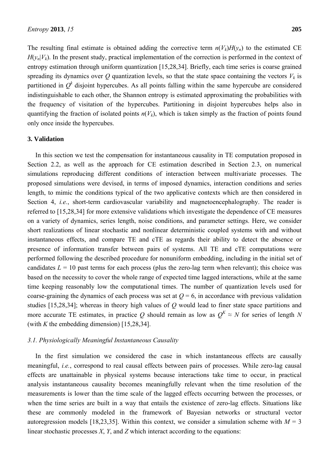The resulting final estimate is obtained adding the corrective term  $n(V_k)H(v_n)$  to the estimated CE  $H(\mathcal{V}_n|V_k)$ . In the present study, practical implementation of the correction is performed in the context of entropy estimation through uniform quantization [15,28,34]. Briefly, each time series is coarse grained spreading its dynamics over *Q* quantization levels, so that the state space containing the vectors  $V_k$  is partitioned in  $Q<sup>k</sup>$  disjoint hypercubes. As all points falling within the same hypercube are considered indistinguishable to each other, the Shannon entropy is estimated approximating the probabilities with the frequency of visitation of the hypercubes. Partitioning in disjoint hypercubes helps also in quantifying the fraction of isolated points  $n(V_k)$ , which is taken simply as the fraction of points found only once inside the hypercubes.

## **3. Validation**

In this section we test the compensation for instantaneous causality in TE computation proposed in Section 2.2, as well as the approach for CE estimation described in Section 2.3, on numerical simulations reproducing different conditions of interaction between multivariate processes. The proposed simulations were devised, in terms of imposed dynamics, interaction conditions and series length, to mimic the conditions typical of the two applicative contexts which are then considered in Section 4, *i.e.*, short-term cardiovascular variability and magnetoencephalography. The reader is referred to [15,28,34] for more extensive validations which investigate the dependence of CE measures on a variety of dynamics, series length, noise conditions, and parameter settings. Here, we consider short realizations of linear stochastic and nonlinear deterministic coupled systems with and without instantaneous effects, and compare TE and cTE as regards their ability to detect the absence or presence of information transfer between pairs of systems. All TE and cTE computations were performed following the described procedure for nonuniform embedding, including in the initial set of candidates  $L = 10$  past terms for each process (plus the zero-lag term when relevant); this choice was based on the necessity to cover the whole range of expected time lagged interactions, while at the same time keeping reasonably low the computational times. The number of quantization levels used for coarse-graining the dynamics of each process was set at  $Q = 6$ , in accordance with previous validation studies [15,28,34]; whereas in theory high values of *Q* would lead to finer state space partitions and more accurate TE estimates, in practice *Q* should remain as low as  $Q^{K} \approx N$  for series of length *N* (with *K* the embedding dimension) [15,28,34].

## *3.1. Physiologically Meaningful Instantaneous Causality*

In the first simulation we considered the case in which instantaneous effects are causally meaningful, *i.e.*, correspond to real causal effects between pairs of processes. While zero-lag causal effects are unattainable in physical systems because interactions take time to occur, in practical analysis instantaneous causality becomes meaningfully relevant when the time resolution of the measurements is lower than the time scale of the lagged effects occurring between the processes, or when the time series are built in a way that entails the existence of zero-lag effects. Situations like these are commonly modeled in the framework of Bayesian networks or structural vector autoregression models [18,23,35]. Within this context, we consider a simulation scheme with  $M = 3$ linear stochastic processes *X*, *Y*, and *Z* which interact according to the equations: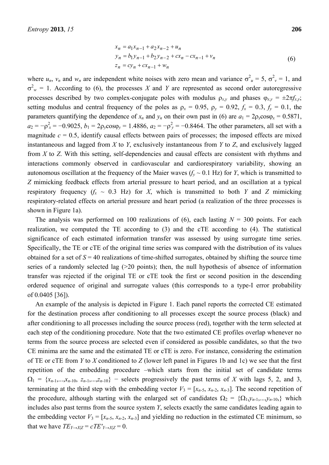$$
x_n = a_1 x_{n-1} + a_2 x_{n-2} + u_n
$$
  
\n
$$
y_n = b_1 y_{n-1} + b_2 y_{n-2} + c x_n - c x_{n-1} + v_n
$$
  
\n
$$
z_n = c y_n + c x_{n-1} + w_n
$$
\n(6)

where  $u_n$ ,  $v_n$  and  $w_n$  are independent white noises with zero mean and variance  $\sigma_u^2 = 5$ ,  $\sigma_v^2 = 1$ , and  $\sigma_w^2 = 1$ . According to (6), the processes *X* and *Y* are represented as second order autoregressive processes described by two complex-conjugate poles with modulus  $\rho_{x,y}$  and phases  $\varphi_{x,y} = \pm 2\pi f_{x,y}$ ; setting modulus and central frequency of the poles as  $\rho_x = 0.95$ ,  $\rho_y = 0.92$ ,  $f_x = 0.3$ ,  $f_y = 0.1$ , the parameters quantifying the dependence of  $x_n$  and  $y_n$  on their own past in (6) are  $a_1 = 2p_x \cos{\varphi_x} = 0.5871$ ,  $a_2 = -\rho_x^2 = -0.9025$ ,  $b_1 = 2\rho_y \cos \varphi_y = 1.4886$ ,  $a_2 = -\rho_y^2 = -0.8464$ . The other parameters, all set with a magnitude  $c = 0.5$ , identify causal effects between pairs of processes; the imposed effects are mixed instantaneous and lagged from *X* to *Y*, exclusively instantaneous from *Y* to *Z*, and exclusively lagged from *X* to *Z*. With this setting, self-dependencies and causal effects are consistent with rhythms and interactions commonly observed in cardiovascular and cardiorespiratory variability, showing an autonomous oscillation at the frequency of the Maier waves  $(f_v \sim 0.1 \text{ Hz})$  for *Y*, which is transmitted to *Z* mimicking feedback effects from arterial pressure to heart period, and an oscillation at a typical respiratory frequency  $(f_x \sim 0.3 \text{ Hz})$  for *X*, which is transmitted to both *Y* and *Z* mimicking respiratory-related effects on arterial pressure and heart period (a realization of the three processes is shown in Figure 1a).

The analysis was performed on 100 realizations of  $(6)$ , each lasting  $N = 300$  points. For each realization, we computed the TE according to (3) and the cTE according to (4). The statistical significance of each estimated information transfer was assessed by using surrogate time series. Specifically, the TE or cTE of the original time series was compared with the distribution of its values obtained for a set of  $S = 40$  realizations of time-shifted surrogates, obtained by shifting the source time series of a randomly selected lag (>20 points); then, the null hypothesis of absence of information transfer was rejected if the original TE or cTE took the first or second position in the descending ordered sequence of original and surrogate values (this corresponds to a type-I error probability of 0.0405 [36]).

An example of the analysis is depicted in Figure 1. Each panel reports the corrected CE estimated for the destination process after conditioning to all processes except the source process (black) and after conditioning to all processes including the source process (red), together with the term selected at each step of the conditioning procedure. Note that the two estimated CE profiles overlap whenever no terms from the source process are selected even if considered as possible candidates, so that the two CE minima are the same and the estimated TE or cTE is zero. For instance, considering the estimation of TE or cTE from *Y* to *X* conditioned to *Z* (lower left panel in Figures 1b and 1c) we see that the first repetition of the embedding procedure –which starts from the initial set of candidate terms  $\Omega_1 = \{x_{n-1},...,x_{n-10}, z_{n-1},...,z_{n-10}\}$  – selects progressively the past terms of *X* with lags 5, 2, and 3, terminating at the third step with the embedding vector  $V_3 = [x_{n-5}, x_{n-2}, x_{n-3}]$ . The second repetition of the procedure, although starting with the enlarged set of candidates  $\Omega_2 = {\Omega_1, y_{n-1}, \ldots, y_{n-10}}$ , which includes also past terms from the source system *Y*, selects exactly the same candidates leading again to the embedding vector  $V_3 = [x_{n-5}, x_{n-2}, x_{n-3}]$  and yielding no reduction in the estimated CE minimum, so that we have  $TE_{Y\rightarrow X|Z} = cTE'_{Y\rightarrow X|Z} = 0$ .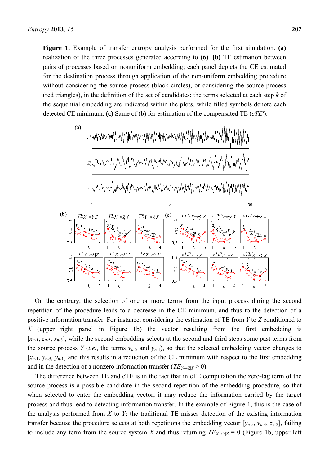**Figure 1.** Example of transfer entropy analysis performed for the first simulation. **(a)** realization of the three processes generated according to (6). **(b)** TE estimation between pairs of processes based on nonuniform embedding; each panel depicts the CE estimated for the destination process through application of the non-uniform embedding procedure without considering the source process (black circles), or considering the source process (red triangles), in the definition of the set of candidates; the terms selected at each step *k* of the sequential embedding are indicated within the plots, while filled symbols denote each detected CE minimum. **(c)** Same of (b) for estimation of the compensated TE (*cTE′*).



On the contrary, the selection of one or more terms from the input process during the second repetition of the procedure leads to a decrease in the CE minimum, and thus to the detection of a positive information transfer. For instance, considering the estimation of TE from *Y* to *Z* conditioned to *X* (upper right panel in Figure 1b) the vector resulting from the first embedding is [ $x_{n-1}$ ,  $z_{n-5}$ ,  $x_{n-3}$ ], while the second embedding selects at the second and third steps some past terms from the source process *Y* (*i.e.*, the terms  $y_{n-5}$  and  $y_{n-1}$ ), so that the selected embedding vector changes to [*xn*-1, *yn*-5, *yn*-1] and this results in a reduction of the CE minimum with respect to the first embedding and in the detection of a nonzero information transfer  $(TE<sub>Y\rightarrow Z|X</sub> > 0)$ .

The difference between TE and cTE is in the fact that in cTE computation the zero-lag term of the source process is a possible candidate in the second repetition of the embedding procedure, so that when selected to enter the embedding vector, it may reduce the information carried by the target process and thus lead to detecting information transfer. In the example of Figure 1, this is the case of the analysis performed from *X* to *Y*: the traditional TE misses detection of the existing information transfer because the procedure selects at both repetitions the embedding vector  $[y_n, y_{n-4}, z_{n-2}]$ , failing to include any term from the source system *X* and thus returning  $TE_{X\rightarrow Y|Z} = 0$  (Figure 1b, upper left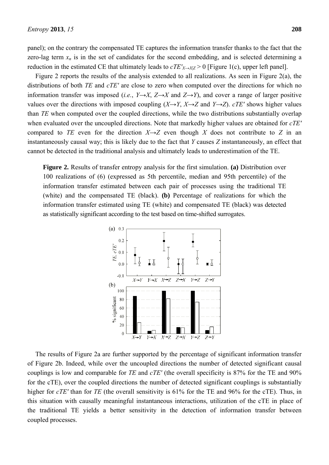panel); on the contrary the compensated TE captures the information transfer thanks to the fact that the zero-lag term  $x_n$  is in the set of candidates for the second embedding, and is selected determining a reduction in the estimated CE that ultimately leads to  $cTE'_{X\rightarrow X/Z} > 0$  [Figure 1(c), upper left panel].

Figure 2 reports the results of the analysis extended to all realizations. As seen in Figure 2(a), the distributions of both *TE* and *cTE′* are close to zero when computed over the directions for which no information transfer was imposed (*i.e.*,  $Y \rightarrow X$ ,  $Z \rightarrow Y$  and  $Z \rightarrow Y$ ), and cover a range of larger positive values over the directions with imposed coupling  $(X \rightarrow Y, X \rightarrow Z$  and  $Y \rightarrow Z$ ). *cTE<sup>'</sup>* shows higher values than *TE* when computed over the coupled directions, while the two distributions substantially overlap when evaluated over the uncoupled directions. Note that markedly higher values are obtained for *cTE′* compared to *TE* even for the direction  $X \rightarrow Z$  even though *X* does not contribute to *Z* in an instantaneously causal way; this is likely due to the fact that *Y* causes *Z* instantaneously, an effect that cannot be detected in the traditional analysis and ultimately leads to underestimation of the TE.

**Figure 2.** Results of transfer entropy analysis for the first simulation. **(a)** Distribution over 100 realizations of (6) (expressed as 5th percentile, median and 95th percentile) of the information transfer estimated between each pair of processes using the traditional TE (white) and the compensated TE (black). **(b)** Percentage of realizations for which the information transfer estimated using TE (white) and compensated TE (black) was detected as statistically significant according to the test based on time-shifted surrogates.



The results of Figure 2a are further supported by the percentage of significant information transfer of Figure 2b. Indeed, while over the uncoupled directions the number of detected significant causal couplings is low and comparable for *TE* and *cTE′* (the overall specificity is 87% for the TE and 90% for the cTE), over the coupled directions the number of detected significant couplings is substantially higher for *cTE*<sup>*'*</sup> than for *TE* (the overall sensitivity is 61% for the TE and 96% for the cTE). Thus, in this situation with causally meaningful instantaneous interactions, utilization of the cTE in place of the traditional TE yields a better sensitivity in the detection of information transfer between coupled processes.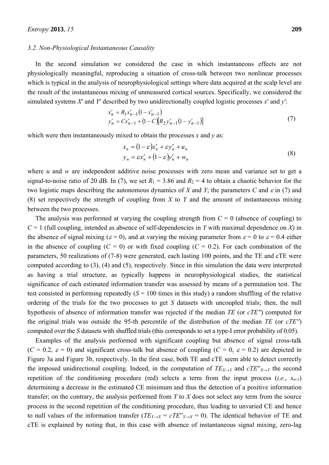## *3.2. Non-Physiological Instantaneous Causality*

In the second simulation we considered the case in which instantaneous effects are not physiologically meaningful, reproducing a situation of cross-talk between two nonlinear processes which is typical in the analysis of neurophysiological settings where data acquired at the scalp level are the result of the instantaneous mixing of unmeasured cortical sources. Specifically, we considered the simulated systems *X*′ and *Y*′ described by two unidirectionally coupled logistic processes *x*′ and *y*′:

$$
x'_{n} = R_{1}x'_{n-1}(1 - x'_{n-1})
$$
  
\n
$$
y'_{n} = Cx'_{n-1} + (1 - C)[R_{2}y'_{n-1}(1 - y'_{n-1})]
$$
\n(7)

which were then instantaneously mixed to obtain the processes *x* and *y* as:

$$
x_n = (1 - \varepsilon)x'_n + \varepsilon y'_n + u_n
$$
  
\n
$$
y_n = \varepsilon x'_n + (1 - \varepsilon)y'_n + w_n
$$
\n(8)

where *u* and *w* are independent additive noise processes with zero mean and variance set to get a signal-to-noise ratio of 20 dB. In (7), we set  $R_1 = 3.86$  and  $R_2 = 4$  to obtain a chaotic behavior for the two logistic maps describing the autonomous dynamics of X and Y; the parameters C and  $\varepsilon$  in (7) and (8) set respectively the strength of coupling from *X* to *Y* and the amount of instantaneous mixing between the two processes.

The analysis was performed at varying the coupling strength from  $C = 0$  (absence of coupling) to  $C = 1$  (full coupling, intended as absence of self-dependencies in *Y* with maximal dependence on *X*) in the absence of signal mixing ( $\varepsilon = 0$ ), and at varying the mixing parameter from  $\varepsilon = 0$  to  $\varepsilon = 0.4$  either in the absence of coupling  $(C = 0)$  or with fixed coupling  $(C = 0.2)$ . For each combination of the parameters, 50 realizations of (7-8) were generated, each lasting 100 points, and the TE and cTE were computed according to (3), (4) and (5), respectively. Since in this simulation the data were interpreted as having a trial structure, as typically happens in neurophysiological studies, the statistical significance of each estimated information transfer was assessed by means of a permutation test. The test consisted in performing repeatedly  $(S = 100)$  times in this study) a random shuffling of the relative ordering of the trials for the two processes to get *S* datasets with uncoupled trials; then, the null hypothesis of absence of information transfer was rejected if the median *TE* (or *cTE′′*) computed for the original trials was outside the 95-th percentile of the distribution of the median *TE* (or *cTE′′*) computed over the *S* datasets with shuffled trials (this corresponds to set a type-I error probability of 0.05).

Examples of the analysis performed with significant coupling but absence of signal cross-talk  $(C = 0.2, \ \varepsilon = 0)$  and significant cross-talk but absence of coupling  $(C = 0, \ \varepsilon = 0.2)$  are depicted in Figure 3a and Figure 3b, respectively. In the first case, both TE and cTE seem able to detect correctly the imposed unidirectional coupling. Indeed, in the computation of  $TE_{X\to Y}$  and  $cTE'_{X\to Y}$  the second repetition of the conditioning procedure (red) selects a term from the input process (*i.e.*,  $x_{n-1}$ ) determining a decrease in the estimated CE minimum and thus the detection of a positive information transfer; on the contrary, the analysis performed from *Y* to *X* does not select any term from the source process in the second repetition of the conditioning procedure, thus leading to unvaried CE and hence to null values of the information transfer ( $TE_{Y\rightarrow X} = cTE''_{Y\rightarrow X} = 0$ ). The identical behavior of TE and cTE is explained by noting that, in this case with absence of instantaneous signal mixing, zero-lag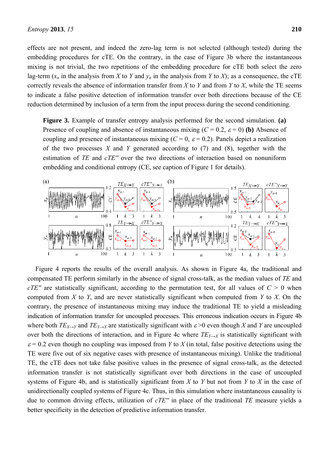effects are not present, and indeed the zero-lag term is not selected (although tested) during the embedding procedures for cTE. On the contrary, in the case of Figure 3b where the instantaneous mixing is not trivial, the two repetitions of the embedding procedure for cTE both select the zero lag-term  $(x_n$  in the analysis from *X* to *Y* and  $y_n$  in the analysis from *Y* to *X*); as a consequence, the cTE correctly reveals the absence of information transfer from *X* to *Y* and from *Y* to *X*, while the TE seems to indicate a false positive detection of information transfer over both directions because of the CE reduction determined by inclusion of a term from the input process during the second conditioning.

**Figure 3.** Example of transfer entropy analysis performed for the second simulation. **(a)** Presence of coupling and absence of instantaneous mixing  $(C = 0.2, \varepsilon = 0)$  (b) Absence of coupling and presence of instantaneous mixing  $(C = 0, \varepsilon = 0.2)$ . Panels depict a realization of the two processes *X* and *Y* generated according to (7) and (8), together with the estimation of *TE* and *cTE′′* over the two directions of interaction based on nonuniform embedding and conditional entropy (CE, see caption of Figure 1 for details).



Figure 4 reports the results of the overall analysis. As shown in Figure 4a, the traditional and compensated TE perform similarly in the absence of signal cross-talk, as the median values of *TE* and *cTE<sup>* $\prime\prime$ *</sup>* are statistically significant, according to the permutation test, for all values of  $C > 0$  when computed from *X* to *Y*, and are never statistically significant when computed from *Y* to *X*. On the contrary, the presence of instantaneous mixing may induce the traditional TE to yield a misleading indication of information transfer for uncoupled processes. This erroneous indication occurs in Figure 4b where both  $TE_{X\to Y}$  and  $TE_{Y\to X}$  are statistically significant with  $\varepsilon > 0$  even though X and Y are uncoupled over both the directions of interaction, and in Figure 4c where  $TE_{Y\rightarrow X}$  is statistically significant with  $\varepsilon$  = 0.2 even though no coupling was imposed from *Y* to *X* (in total, false positive detections using the TE were five out of six negative cases with presence of instantaneous mixing). Unlike the traditional TE, the cTE does not take false positive values in the presence of signal cross-talk, as the detected information transfer is not statistically significant over both directions in the case of uncoupled systems of Figure 4b, and is statistically significant from *X* to *Y* but not from *Y* to *X* in the case of unidirectionally coupled systems of Figure 4c. Thus, in this simulation where instantaneous causality is due to common driving effects, utilization of *cTE′′* in place of the traditional *TE* measure yields a better specificity in the detection of predictive information transfer.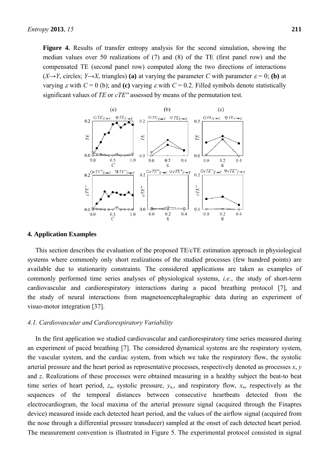**Figure 4.** Results of transfer entropy analysis for the second simulation, showing the median values over 50 realizations of (7) and (8) of the TE (first panel row) and the compensated TE (second panel row) computed along the two directions of interactions  $(X \rightarrow Y$ , circles;  $Y \rightarrow X$ , triangles) (a) at varying the parameter *C* with parameter  $\varepsilon = 0$ ; (b) at varying  $\varepsilon$  with  $C = 0$  (b); and (c) varying  $\varepsilon$  with  $C = 0.2$ . Filled symbols denote statistically significant values of *TE* or *cTE′′* assessed by means of the permutation test.



## **4. Application Examples**

This section describes the evaluation of the proposed TE/cTE estimation approach in physiological systems where commonly only short realizations of the studied processes (few hundred points) are available due to stationarity constraints. The considered applications are taken as examples of commonly performed time series analyses of physiological systems, *i.e.*, the study of short-term cardiovascular and cardiorespiratory interactions during a paced breathing protocol [7], and the study of neural interactions from magnetoencephalographic data during an experiment of visuo-motor integration [37].

## *4.1. Cardiovascular and Cardiorespiratory Variability*

In the first application we studied cardiovascular and cardiorespiratory time series measured during an experiment of paced breathing [7]. The considered dynamical systems are the respiratory system, the vascular system, and the cardiac system, from which we take the respiratory flow, the systolic arterial pressure and the heart period as representative processes, respectively denoted as processes *x*, *y* and *z*. Realizations of these processes were obtained measuring in a healthy subject the beat-to beat time series of heart period,  $z_n$ , systolic pressure,  $y_n$ , and respiratory flow,  $x_n$ , respectively as the sequences of the temporal distances between consecutive heartbeats detected from the electrocardiogram, the local maxima of the arterial pressure signal (acquired through the Finapres device) measured inside each detected heart period, and the values of the airflow signal (acquired from the nose through a differential pressure transducer) sampled at the onset of each detected heart period. The measurement convention is illustrated in Figure 5. The experimental protocol consisted in signal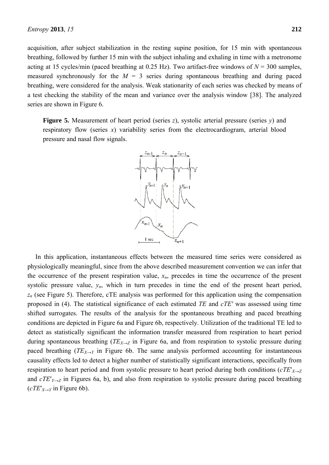acquisition, after subject stabilization in the resting supine position, for 15 min with spontaneous breathing, followed by further 15 min with the subject inhaling and exhaling in time with a metronome acting at 15 cycles/min (paced breathing at 0.25 Hz). Two artifact-free windows of  $N = 300$  samples, measured synchronously for the  $M = 3$  series during spontaneous breathing and during paced breathing, were considered for the analysis. Weak stationarity of each series was checked by means of a test checking the stability of the mean and variance over the analysis window [38]. The analyzed series are shown in Figure 6.

**Figure 5.** Measurement of heart period (series *z*), systolic arterial pressure (series *y*) and respiratory flow (series *x*) variability series from the electrocardiogram, arterial blood pressure and nasal flow signals.



In this application, instantaneous effects between the measured time series were considered as physiologically meaningful, since from the above described measurement convention we can infer that the occurrence of the present respiration value,  $x_n$ , precedes in time the occurrence of the present systolic pressure value, *yn*, which in turn precedes in time the end of the present heart period,  $z_n$  (see Figure 5). Therefore, cTE analysis was performed for this application using the compensation proposed in (4). The statistical significance of each estimated *TE* and *cTE′* was assessed using time shifted surrogates. The results of the analysis for the spontaneous breathing and paced breathing conditions are depicted in Figure 6a and Figure 6b, respectively. Utilization of the traditional TE led to detect as statistically significant the information transfer measured from respiration to heart period during spontaneous breathing ( $TE_{X\rightarrow Z}$  in Figure 6a, and from respiration to systolic pressure during paced breathing ( $TE_{X\rightarrow Y}$  in Figure 6b. The same analysis performed accounting for instantaneous causality effects led to detect a higher number of statistically significant interactions, specifically from respiration to heart period and from systolic pressure to heart period during both conditions (*cTE*′*X*→*<sup>Z</sup>* and  $cT E'_{Y\rightarrow Z}$  in Figures 6a, b), and also from respiration to systolic pressure during paced breathing  $(cTE'_{X\rightarrow Y}$  in Figure 6b).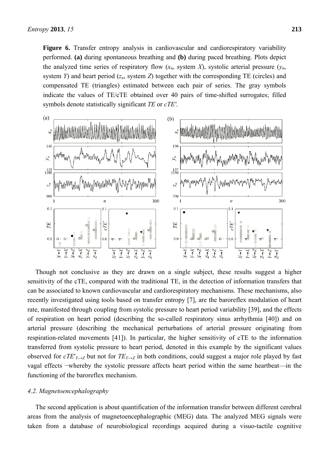**Figure 6.** Transfer entropy analysis in cardiovascular and cardiorespiratory variability performed. **(a)** during spontaneous breathing and **(b)** during paced breathing. Plots depict the analyzed time series of respiratory flow  $(x_n, y$ system  $X)$ , systolic arterial pressure  $(y_n, y)$ system *Y*) and heart period  $(z_n, y_n)$  system *Z*) together with the corresponding TE (circles) and compensated TE (triangles) estimated between each pair of series. The gray symbols indicate the values of TE/cTE obtained over 40 pairs of time-shifted surrogates; filled symbols denote statistically significant *TE* or *cTE′*.



Though not conclusive as they are drawn on a single subject, these results suggest a higher sensitivity of the cTE, compared with the traditional TE, in the detection of information transfers that can be associated to known cardiovascular and cardiorespiratory mechanisms. These mechanisms, also recently investigated using tools based on transfer entropy [7], are the baroreflex modulation of heart rate, manifested through coupling from systolic pressure to heart period variability [39], and the effects of respiration on heart period (describing the so-called respiratory sinus arrhythmia [40]) and on arterial pressure (describing the mechanical perturbations of arterial pressure originating from respiration-related movements [41]). In particular, the higher sensitivity of cTE to the information transferred from systolic pressure to heart period, denoted in this example by the significant values observed for  $cTE'_{Y\rightarrow Z}$  but not for  $TE_{Y\rightarrow Z}$  in both conditions, could suggest a major role played by fast vagal effects −whereby the systolic pressure affects heart period within the same heartbeat—in the functioning of the baroreflex mechanism.

# *4.2. Magnetoencephalography*

The second application is about quantification of the information transfer between different cerebral areas from the analysis of magnetoencephalographic (MEG) data. The analyzed MEG signals were taken from a database of neurobiological recordings acquired during a visuo-tactile cognitive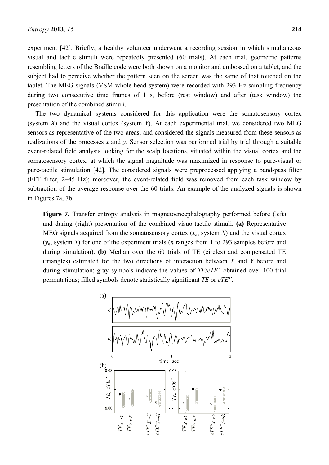experiment [42]. Briefly, a healthy volunteer underwent a recording session in which simultaneous visual and tactile stimuli were repeatedly presented (60 trials). At each trial, geometric patterns resembling letters of the Braille code were both shown on a monitor and embossed on a tablet, and the subject had to perceive whether the pattern seen on the screen was the same of that touched on the tablet. The MEG signals (VSM whole head system) were recorded with 293 Hz sampling frequency during two consecutive time frames of 1 s, before (rest window) and after (task window) the presentation of the combined stimuli.

The two dynamical systems considered for this application were the somatosensory cortex (system *X*) and the visual cortex (system *Y*). At each experimental trial, we considered two MEG sensors as representative of the two areas, and considered the signals measured from these sensors as realizations of the processes *x* and *y*. Sensor selection was performed trial by trial through a suitable event-related field analysis looking for the scalp locations, situated within the visual cortex and the somatosensory cortex, at which the signal magnitude was maximized in response to pure-visual or pure-tactile stimulation [42]. The considered signals were preprocessed applying a band-pass filter (FFT filter, 2–45 Hz); moreover, the event-related field was removed from each task window by subtraction of the average response over the 60 trials. An example of the analyzed signals is shown in Figures 7a, 7b.

**Figure 7.** Transfer entropy analysis in magnetoencephalography performed before (left) and during (right) presentation of the combined visuo-tactile stimuli. **(a)** Representative MEG signals acquired from the somatosensory cortex  $(x_n, y$  system  $X$ ) and the visual cortex (*yn*, system *Y*) for one of the experiment trials (*n* ranges from 1 to 293 samples before and during simulation). **(b)** Median over the 60 trials of TE (circles) and compensated TE (triangles) estimated for the two directions of interaction between *X* and *Y* before and during stimulation; gray symbols indicate the values of *TE*/*cTE′*′ obtained over 100 trial permutations; filled symbols denote statistically significant *TE* or *cTE′′*.

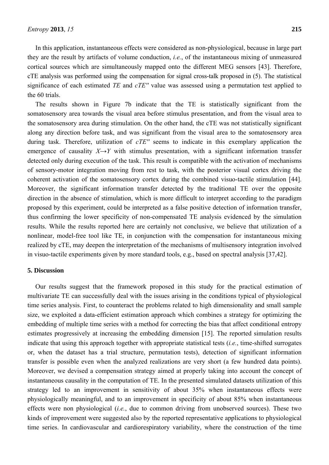In this application, instantaneous effects were considered as non-physiological, because in large part they are the result by artifacts of volume conduction, *i.e.*, of the instantaneous mixing of unmeasured cortical sources which are simultaneously mapped onto the different MEG sensors [43]. Therefore, cTE analysis was performed using the compensation for signal cross-talk proposed in (5). The statistical significance of each estimated *TE* and *cTE′′* value was assessed using a permutation test applied to the 60 trials.

The results shown in Figure 7b indicate that the TE is statistically significant from the somatosensory area towards the visual area before stimulus presentation, and from the visual area to the somatosensory area during stimulation. On the other hand, the cTE was not statistically significant along any direction before task, and was significant from the visual area to the somatosensory area during task. Therefore, utilization of *cTE′′* seems to indicate in this exemplary application the emergence of causality  $X \rightarrow Y$  with stimulus presentation, with a significant information transfer detected only during execution of the task. This result is compatible with the activation of mechanisms of sensory-motor integration moving from rest to task, with the posterior visual cortex driving the coherent activation of the somatosensory cortex during the combined visuo-tactile stimulation [44]. Moreover, the significant information transfer detected by the traditional TE over the opposite direction in the absence of stimulation, which is more difficult to interpret according to the paradigm proposed by this experiment, could be interpreted as a false positive detection of information transfer, thus confirming the lower specificity of non-compensated TE analysis evidenced by the simulation results. While the results reported here are certainly not conclusive, we believe that utilization of a nonlinear, model-free tool like TE, in conjunction with the compensation for instantaneous mixing realized by cTE, may deepen the interpretation of the mechanisms of multisensory integration involved in visuo-tactile experiments given by more standard tools, e.g., based on spectral analysis [37,42].

# **5. Discussion**

Our results suggest that the framework proposed in this study for the practical estimation of multivariate TE can successfully deal with the issues arising in the conditions typical of physiological time series analysis. First, to counteract the problems related to high dimensionality and small sample size, we exploited a data-efficient estimation approach which combines a strategy for optimizing the embedding of multiple time series with a method for correcting the bias that affect conditional entropy estimates progressively at increasing the embedding dimension [15]. The reported simulation results indicate that using this approach together with appropriate statistical tests (*i.e.*, time-shifted surrogates or, when the dataset has a trial structure, permutation tests), detection of significant information transfer is possible even when the analyzed realizations are very short (a few hundred data points). Moreover, we devised a compensation strategy aimed at properly taking into account the concept of instantaneous causality in the computation of TE. In the presented simulated datasets utilization of this strategy led to an improvement in sensitivity of about 35% when instantaneous effects were physiologically meaningful, and to an improvement in specificity of about 85% when instantaneous effects were non physiological (*i.e.*, due to common driving from unobserved sources). These two kinds of improvement were suggested also by the reported representative applications to physiological time series. In cardiovascular and cardiorespiratory variability, where the construction of the time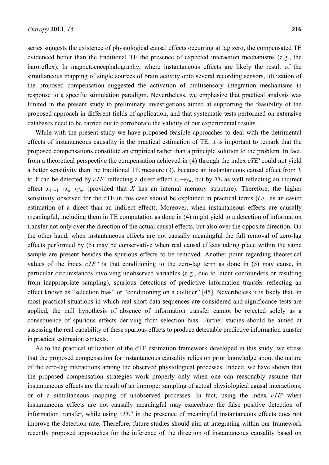series suggests the existence of physiological causal effects occurring at lag zero, the compensated TE evidenced better than the traditional TE the presence of expected interaction mechanisms (e.g., the baroreflex). In magnetoencephalography, where instantaneous effects are likely the result of the simultaneous mapping of single sources of brain activity onto several recording sensors, utilization of the proposed compensation suggested the activation of multisensory integration mechanisms in response to a specific stimulation paradigm. Nevertheless, we emphasize that practical analysis was limited in the present study to preliminary investigations aimed at supporting the feasibility of the proposed approach in different fields of application, and that systematic tests performed on extensive databases need to be carried out to corroborate the validity of our experimental results.

While with the present study we have proposed feasible approaches to deal with the detrimental effects of instantaneous causality in the practical estimation of TE, it is important to remark that the proposed compensations constitute an empirical rather than a principle solution to the problem. In fact, from a theoretical perspective the compensation achieved in (4) through the index *cTE′* could not yield a better sensitivity than the traditional TE measure (3), because an instantaneous causal effect from *X* to *Y* can be detected by *cTE'* reflecting a direct effect  $x_n \rightarrow y_n$ , but by *TE* as well reflecting an indirect effect  $x_{1:n-1} \rightarrow x_n \rightarrow y_n$ , (provided that *X* has an internal memory structure). Therefore, the higher sensitivity observed for the cTE in this case should be explained in practical terms (*i.e.*, as an easier estimation of a direct than an indirect effect). Moreover, when instantaneous effects are causally meaningful, including them in TE computation as done in (4) might yield to a detection of information transfer not only over the direction of the actual causal effects, but also over the opposite direction. On the other hand, when instantaneous effects are not causally meaningful the full removal of zero-lag effects performed by (5) may be conservative when real causal effects taking place within the same sample are present besides the spurious effects to be removed. Another point regarding theoretical values of the index *cTE′′* is that conditioning to the zero-lag term as done in (5) may cause, in particular circumstances involving unobserved variables (e.g., due to latent confounders or resulting from inappropriate sampling), spurious detections of predictive information transfer reflecting an effect known as "selection bias" or "conditioning on a collider" [45]. Nevertheless it is likely that, in most practical situations in which real short data sequences are considered and significance tests are applied, the null hypothesis of absence of information transfer cannot be rejected solely as a consequence of spurious effects deriving from selection bias. Further studies should be aimed at assessing the real capability of these spurious effects to produce detectable predictive information transfer in practical estimation contexts.

As to the practical utilization of the cTE estimation framework developed in this study, we stress that the proposed compensation for instantaneous causality relies on prior knowledge about the nature of the zero-lag interactions among the observed physiological processes. Indeed, we have shown that the proposed compensation strategies work properly only when one can reasonably assume that instantaneous effects are the result of an improper sampling of actual physiological causal interactions, or of a simultaneous mapping of unobserved processes. In fact, using the index *cTE′* when instantaneous effects are not causally meaningful may exacerbate the false positive detection of information transfer, while using *cTE*′′ in the presence of meaningful instantaneous effects does not improve the detection rate. Therefore, future studies should aim at integrating within our framework recently proposed approaches for the inference of the direction of instantaneous causality based on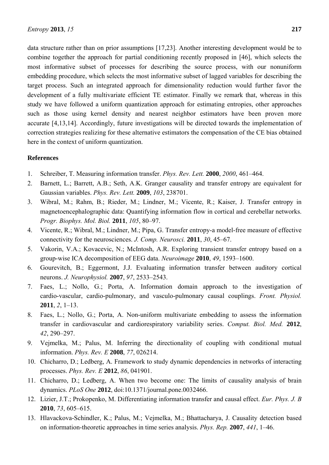data structure rather than on prior assumptions [17,23]. Another interesting development would be to combine together the approach for partial conditioning recently proposed in [46], which selects the most informative subset of processes for describing the source process, with our nonuniform embedding procedure, which selects the most informative subset of lagged variables for describing the target process. Such an integrated approach for dimensionality reduction would further favor the development of a fully multivariate efficient TE estimator. Finally we remark that, whereas in this study we have followed a uniform quantization approach for estimating entropies, other approaches such as those using kernel density and nearest neighbor estimators have been proven more accurate [4,13,14]. Accordingly, future investigations will be directed towards the implementation of correction strategies realizing for these alternative estimators the compensation of the CE bias obtained here in the context of uniform quantization.

# **References**

- 1. Schreiber, T. Measuring information transfer. *Phys. Rev. Lett.* **2000**, *2000*, 461–464.
- 2. Barnett, L.; Barrett, A.B.; Seth, A.K. Granger causality and transfer entropy are equivalent for Gaussian variables. *Phys. Rev. Lett.* **2009**, *103*, 238701.
- 3. Wibral, M.; Rahm, B.; Rieder, M.; Lindner, M.; Vicente, R.; Kaiser, J. Transfer entropy in magnetoencephalographic data: Quantifying information flow in cortical and cerebellar networks. *Progr. Biophys. Mol. Biol.* **2011**, *105*, 80–97.
- 4. Vicente, R.; Wibral, M.; Lindner, M.; Pipa, G. Transfer entropy-a model-free measure of effective connectivity for the neurosciences. *J. Comp. Neurosci.* **2011**, *30*, 45–67.
- 5. Vakorin, V.A.; Kovacevic, N.; McIntosh, A.R. Exploring transient transfer entropy based on a group-wise ICA decomposition of EEG data. *Neuroimage* **2010**, *49*, 1593–1600.
- 6. Gourevitch, B.; Eggermont, J.J. Evaluating information transfer between auditory cortical neurons. *J. Neurophysiol.* **2007**, *97*, 2533–2543.
- 7. Faes, L.; Nollo, G.; Porta, A. Information domain approach to the investigation of cardio-vascular, cardio-pulmonary, and vasculo-pulmonary causal couplings. *Front. Physiol.* **2011**, *2*, 1–13.
- 8. Faes, L.; Nollo, G.; Porta, A. Non-uniform multivariate embedding to assess the information transfer in cardiovascular and cardiorespiratory variability series. *Comput. Biol. Med.* **2012**, *42*, 290–297.
- 9. Vejmelka, M.; Palus, M. Inferring the directionality of coupling with conditional mutual information. *Phys. Rev. E* **2008**, *77*, 026214.
- 10. Chicharro, D.; Ledberg, A. Framework to study dynamic dependencies in networks of interacting processes. *Phys. Rev. E* **2012**, *86*, 041901.
- 11. Chicharro, D.; Ledberg, A. When two become one: The limits of causality analysis of brain dynamics. *PLoS One* **2012**, doi:10.1371/journal.pone.0032466.
- 12. Lizier, J.T.; Prokopenko, M. Differentiating information transfer and causal effect. *Eur. Phys. J. B* **2010**, *73*, 605–615.
- 13. Hlavackova-Schindler, K.; Palus, M.; Vejmelka, M.; Bhattacharya, J. Causality detection based on information-theoretic approaches in time series analysis. *Phys. Rep.* **2007**, *441*, 1–46.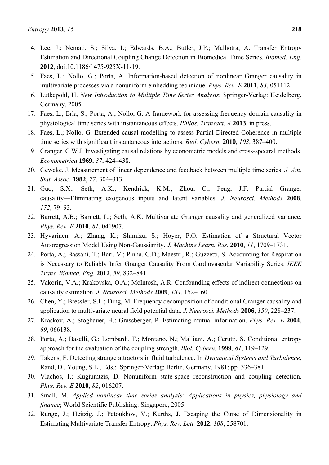- 14. Lee, J.; Nemati, S.; Silva, I.; Edwards, B.A.; Butler, J.P.; Malhotra, A. Transfer Entropy Estimation and Directional Coupling Change Detection in Biomedical Time Series. *Biomed. Eng.*  **2012**, doi:10.1186/1475-925X-11-19.
- 15. Faes, L.; Nollo, G.; Porta, A. Information-based detection of nonlinear Granger causality in multivariate processes via a nonuniform embedding technique. *Phys. Rev. E* **2011**, *83*, 051112.
- 16. Lutkepohl, H. *New Introduction to Multiple Time Series Analysis*; Springer-Verlag: Heidelberg, Germany, 2005.
- 17. Faes, L.; Erla, S.; Porta, A.; Nollo, G. A framework for assessing frequency domain causality in physiological time series with instantaneous effects. *Philos. Transact. A* **2013**, in press.
- 18. Faes, L.; Nollo, G. Extended causal modelling to assess Partial Directed Coherence in multiple time series with significant instantaneous interactions. *Biol. Cybern.* **2010**, *103*, 387–400.
- 19. Granger, C.W.J. Investigating causal relations by econometric models and cross-spectral methods. *Econometrica* **1969**, *37*, 424–438.
- 20. Geweke, J. Measurement of linear dependence and feedback between multiple time series. *J. Am. Stat. Assoc.* **1982**, *77*, 304–313.
- 21. Guo, S.X.; Seth, A.K.; Kendrick, K.M.; Zhou, C.; Feng, J.F. Partial Granger causality—Eliminating exogenous inputs and latent variables. *J. Neurosci. Methods* **2008**, *172*, 79–93.
- 22. Barrett, A.B.; Barnett, L.; Seth, A.K. Multivariate Granger causality and generalized variance. *Phys. Rev. E* **2010**, *81*, 041907.
- 23. Hyvarinen, A.; Zhang, K.; Shimizu, S.; Hoyer, P.O. Estimation of a Structural Vector Autoregression Model Using Non-Gaussianity. *J. Machine Learn. Res.* **2010**, *11*, 1709–1731.
- 24. Porta, A.; Bassani, T.; Bari, V.; Pinna, G.D.; Maestri, R.; Guzzetti, S. Accounting for Respiration is Necessary to Reliably Infer Granger Causality From Cardiovascular Variability Series. *IEEE Trans. Biomed. Eng.* **2012**, *59*, 832–841.
- 25. Vakorin, V.A.; Krakovska, O.A.; McIntosh, A.R. Confounding effects of indirect connections on causality estimation. *J. Neurosci. Methods* **2009**, *184*, 152–160.
- 26. Chen, Y.; Bressler, S.L.; Ding, M. Frequency decomposition of conditional Granger causality and application to multivariate neural field potential data. *J. Neurosci. Methods* **2006**, *150*, 228–237.
- 27. Kraskov, A.; Stogbauer, H.; Grassberger, P. Estimating mutual information. *Phys. Rev. E* **2004**, *69*, 066138.
- 28. Porta, A.; Baselli, G.; Lombardi, F.; Montano, N.; Malliani, A.; Cerutti, S. Conditional entropy approach for the evaluation of the coupling strength. *Biol. Cybern.* **1999**, *81*, 119–129.
- 29. Takens, F. Detecting strange attractors in fluid turbulence. In *Dynamical Systems and Turbulence*, Rand, D., Young, S.L., Eds.; Springer-Verlag: Berlin, Germany, 1981; pp. 336–381.
- 30. Vlachos, I.; Kugiumtzis, D. Nonuniform state-space reconstruction and coupling detection. *Phys. Rev. E* **2010**, *82*, 016207.
- 31. Small, M. *Applied nonlinear time series analysis: Applications in physics, physiology and finance*; World Scientific Publishing: Singapore, 2005.
- 32. Runge, J.; Heitzig, J.; Petoukhov, V.; Kurths, J. Escaping the Curse of Dimensionality in Estimating Multivariate Transfer Entropy. *Phys. Rev. Lett.* **2012**, *108*, 258701.